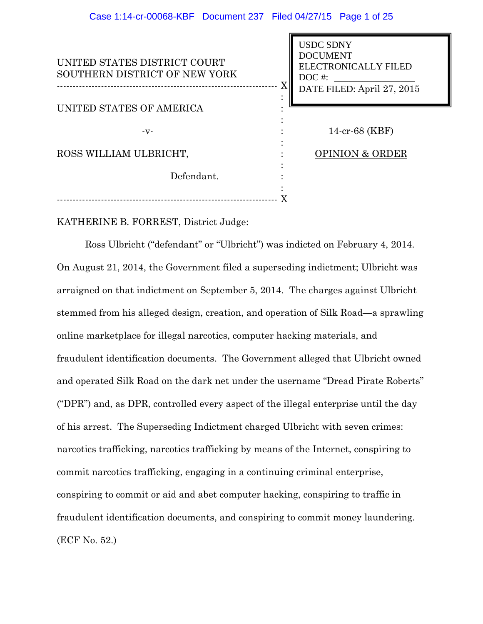| UNITED STATES DISTRICT COURT<br>SOUTHERN DISTRICT OF NEW YORK | <b>USDC SDNY</b><br><b>DOCUMENT</b><br><b>ELECTRONICALLY FILED</b><br>$DOC$ #:<br>$\rm X$  <br>DATE FILED: April 27, 2015 |
|---------------------------------------------------------------|---------------------------------------------------------------------------------------------------------------------------|
| <b>UNITED STATES OF AMERICA</b>                               |                                                                                                                           |
| $-V -$                                                        | 14-cr-68 (KBF)                                                                                                            |
| ROSS WILLIAM ULBRICHT,                                        | <b>OPINION &amp; ORDER</b>                                                                                                |
| Defendant.                                                    |                                                                                                                           |
|                                                               |                                                                                                                           |

KATHERINE B. FORREST, District Judge:

Ross Ulbricht ("defendant" or "Ulbricht") was indicted on February 4, 2014. On August 21, 2014, the Government filed a superseding indictment; Ulbricht was arraigned on that indictment on September 5, 2014. The charges against Ulbricht stemmed from his alleged design, creation, and operation of Silk Road—a sprawling online marketplace for illegal narcotics, computer hacking materials, and fraudulent identification documents. The Government alleged that Ulbricht owned and operated Silk Road on the dark net under the username "Dread Pirate Roberts" ("DPR") and, as DPR, controlled every aspect of the illegal enterprise until the day of his arrest. The Superseding Indictment charged Ulbricht with seven crimes: narcotics trafficking, narcotics trafficking by means of the Internet, conspiring to commit narcotics trafficking, engaging in a continuing criminal enterprise, conspiring to commit or aid and abet computer hacking, conspiring to traffic in fraudulent identification documents, and conspiring to commit money laundering. (ECF No. 52.)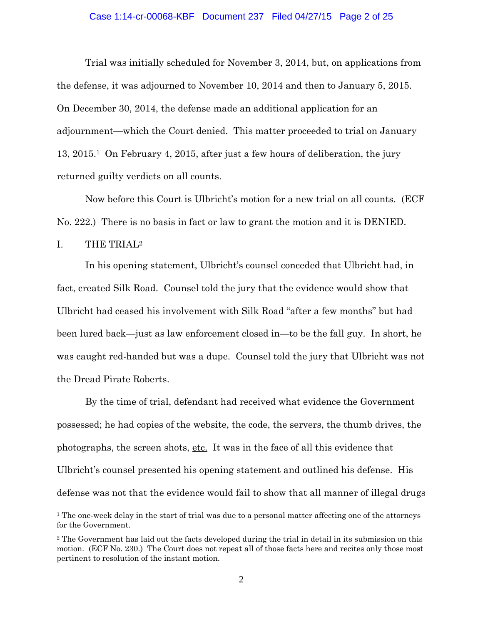#### Case 1:14-cr-00068-KBF Document 237 Filed 04/27/15 Page 2 of 25

Trial was initially scheduled for November 3, 2014, but, on applications from the defense, it was adjourned to November 10, 2014 and then to January 5, 2015. On December 30, 2014, the defense made an additional application for an adjournment—which the Court denied. This matter proceeded to trial on January 13, 2015.1 On February 4, 2015, after just a few hours of deliberation, the jury returned guilty verdicts on all counts.

Now before this Court is Ulbricht's motion for a new trial on all counts. (ECF No. 222.) There is no basis in fact or law to grant the motion and it is DENIED.

I. THE TRIAL2

 $\overline{a}$ 

In his opening statement, Ulbricht's counsel conceded that Ulbricht had, in fact, created Silk Road. Counsel told the jury that the evidence would show that Ulbricht had ceased his involvement with Silk Road "after a few months" but had been lured back—just as law enforcement closed in—to be the fall guy. In short, he was caught red-handed but was a dupe. Counsel told the jury that Ulbricht was not the Dread Pirate Roberts.

By the time of trial, defendant had received what evidence the Government possessed; he had copies of the website, the code, the servers, the thumb drives, the photographs, the screen shots, etc. It was in the face of all this evidence that Ulbricht's counsel presented his opening statement and outlined his defense. His defense was not that the evidence would fail to show that all manner of illegal drugs

<sup>&</sup>lt;sup>1</sup> The one-week delay in the start of trial was due to a personal matter affecting one of the attorneys for the Government.

<sup>2</sup> The Government has laid out the facts developed during the trial in detail in its submission on this motion. (ECF No. 230.) The Court does not repeat all of those facts here and recites only those most pertinent to resolution of the instant motion.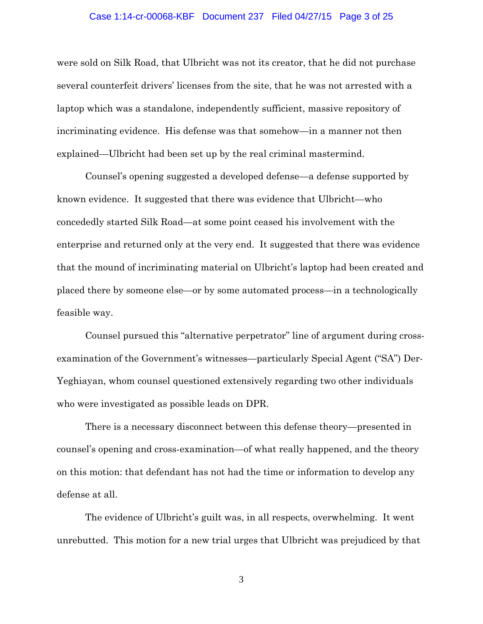## Case 1:14-cr-00068-KBF Document 237 Filed 04/27/15 Page 3 of 25

were sold on Silk Road, that Ulbricht was not its creator, that he did not purchase several counterfeit drivers' licenses from the site, that he was not arrested with a laptop which was a standalone, independently sufficient, massive repository of incriminating evidence. His defense was that somehow—in a manner not then explained—Ulbricht had been set up by the real criminal mastermind.

Counsel's opening suggested a developed defense—a defense supported by known evidence. It suggested that there was evidence that Ulbricht—who concededly started Silk Road—at some point ceased his involvement with the enterprise and returned only at the very end. It suggested that there was evidence that the mound of incriminating material on Ulbricht's laptop had been created and placed there by someone else—or by some automated process—in a technologically feasible way.

Counsel pursued this "alternative perpetrator" line of argument during crossexamination of the Government's witnesses—particularly Special Agent ("SA") Der-Yeghiayan, whom counsel questioned extensively regarding two other individuals who were investigated as possible leads on DPR.

There is a necessary disconnect between this defense theory—presented in counsel's opening and cross-examination—of what really happened, and the theory on this motion: that defendant has not had the time or information to develop any defense at all.

The evidence of Ulbricht's guilt was, in all respects, overwhelming. It went unrebutted. This motion for a new trial urges that Ulbricht was prejudiced by that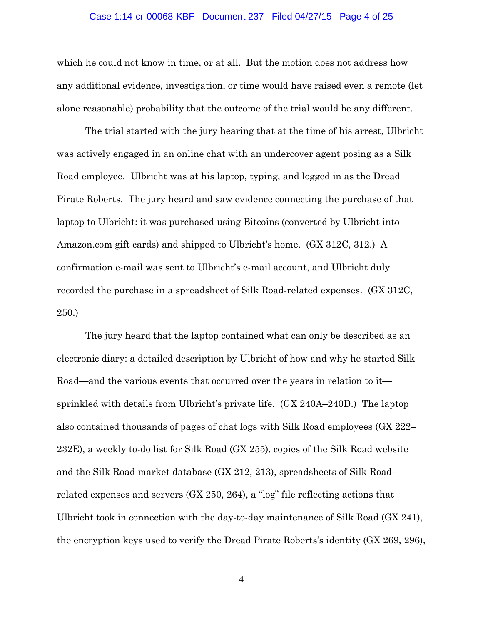## Case 1:14-cr-00068-KBF Document 237 Filed 04/27/15 Page 4 of 25

which he could not know in time, or at all. But the motion does not address how any additional evidence, investigation, or time would have raised even a remote (let alone reasonable) probability that the outcome of the trial would be any different.

The trial started with the jury hearing that at the time of his arrest, Ulbricht was actively engaged in an online chat with an undercover agent posing as a Silk Road employee. Ulbricht was at his laptop, typing, and logged in as the Dread Pirate Roberts. The jury heard and saw evidence connecting the purchase of that laptop to Ulbricht: it was purchased using Bitcoins (converted by Ulbricht into Amazon.com gift cards) and shipped to Ulbricht's home. (GX 312C, 312.) A confirmation e-mail was sent to Ulbricht's e-mail account, and Ulbricht duly recorded the purchase in a spreadsheet of Silk Road-related expenses. (GX 312C, 250.)

The jury heard that the laptop contained what can only be described as an electronic diary: a detailed description by Ulbricht of how and why he started Silk Road—and the various events that occurred over the years in relation to it sprinkled with details from Ulbricht's private life. (GX 240A–240D.) The laptop also contained thousands of pages of chat logs with Silk Road employees (GX 222– 232E), a weekly to-do list for Silk Road (GX 255), copies of the Silk Road website and the Silk Road market database (GX 212, 213), spreadsheets of Silk Road– related expenses and servers (GX 250, 264), a "log" file reflecting actions that Ulbricht took in connection with the day-to-day maintenance of Silk Road (GX 241), the encryption keys used to verify the Dread Pirate Roberts's identity (GX 269, 296),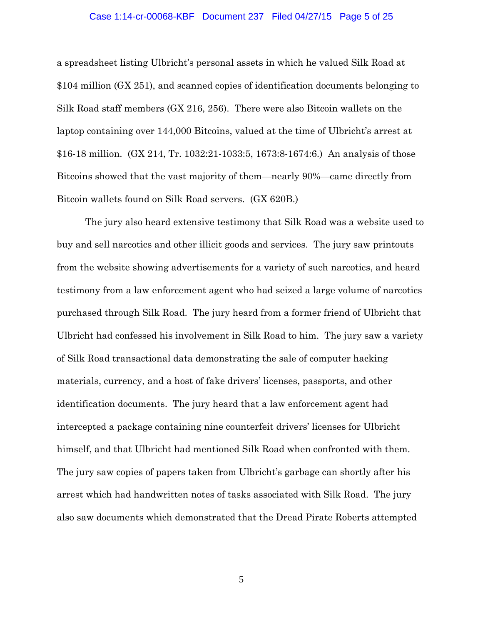#### Case 1:14-cr-00068-KBF Document 237 Filed 04/27/15 Page 5 of 25

a spreadsheet listing Ulbricht's personal assets in which he valued Silk Road at \$104 million (GX 251), and scanned copies of identification documents belonging to Silk Road staff members (GX 216, 256). There were also Bitcoin wallets on the laptop containing over 144,000 Bitcoins, valued at the time of Ulbricht's arrest at \$16-18 million. (GX 214, Tr. 1032:21-1033:5, 1673:8-1674:6.) An analysis of those Bitcoins showed that the vast majority of them—nearly 90%—came directly from Bitcoin wallets found on Silk Road servers. (GX 620B.)

The jury also heard extensive testimony that Silk Road was a website used to buy and sell narcotics and other illicit goods and services. The jury saw printouts from the website showing advertisements for a variety of such narcotics, and heard testimony from a law enforcement agent who had seized a large volume of narcotics purchased through Silk Road. The jury heard from a former friend of Ulbricht that Ulbricht had confessed his involvement in Silk Road to him. The jury saw a variety of Silk Road transactional data demonstrating the sale of computer hacking materials, currency, and a host of fake drivers' licenses, passports, and other identification documents. The jury heard that a law enforcement agent had intercepted a package containing nine counterfeit drivers' licenses for Ulbricht himself, and that Ulbricht had mentioned Silk Road when confronted with them. The jury saw copies of papers taken from Ulbricht's garbage can shortly after his arrest which had handwritten notes of tasks associated with Silk Road. The jury also saw documents which demonstrated that the Dread Pirate Roberts attempted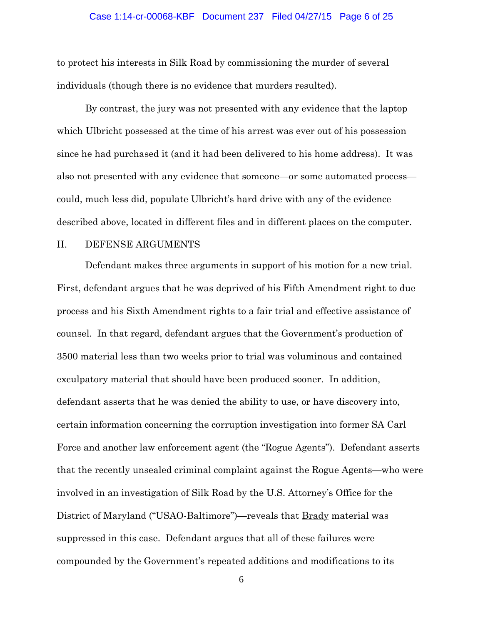#### Case 1:14-cr-00068-KBF Document 237 Filed 04/27/15 Page 6 of 25

to protect his interests in Silk Road by commissioning the murder of several individuals (though there is no evidence that murders resulted).

By contrast, the jury was not presented with any evidence that the laptop which Ulbricht possessed at the time of his arrest was ever out of his possession since he had purchased it (and it had been delivered to his home address). It was also not presented with any evidence that someone—or some automated process could, much less did, populate Ulbricht's hard drive with any of the evidence described above, located in different files and in different places on the computer.

# II. DEFENSE ARGUMENTS

Defendant makes three arguments in support of his motion for a new trial. First, defendant argues that he was deprived of his Fifth Amendment right to due process and his Sixth Amendment rights to a fair trial and effective assistance of counsel. In that regard, defendant argues that the Government's production of 3500 material less than two weeks prior to trial was voluminous and contained exculpatory material that should have been produced sooner. In addition, defendant asserts that he was denied the ability to use, or have discovery into, certain information concerning the corruption investigation into former SA Carl Force and another law enforcement agent (the "Rogue Agents"). Defendant asserts that the recently unsealed criminal complaint against the Rogue Agents—who were involved in an investigation of Silk Road by the U.S. Attorney's Office for the District of Maryland ("USAO-Baltimore")—reveals that Brady material was suppressed in this case. Defendant argues that all of these failures were compounded by the Government's repeated additions and modifications to its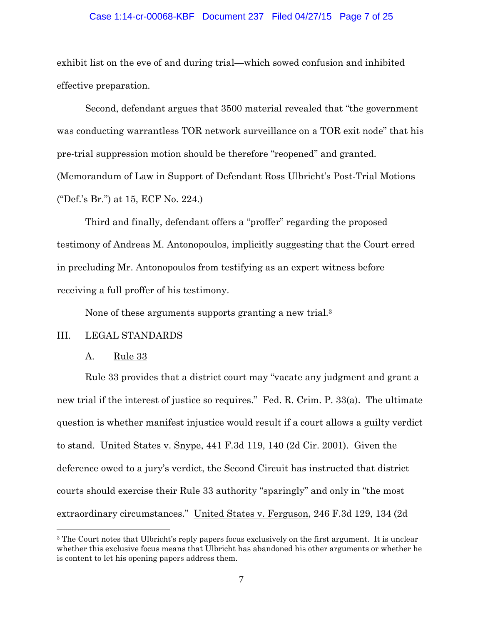## Case 1:14-cr-00068-KBF Document 237 Filed 04/27/15 Page 7 of 25

exhibit list on the eve of and during trial—which sowed confusion and inhibited effective preparation.

Second, defendant argues that 3500 material revealed that "the government was conducting warrantless TOR network surveillance on a TOR exit node" that his pre-trial suppression motion should be therefore "reopened" and granted. (Memorandum of Law in Support of Defendant Ross Ulbricht's Post-Trial Motions ("Def.'s Br.") at 15, ECF No. 224.)

Third and finally, defendant offers a "proffer" regarding the proposed testimony of Andreas M. Antonopoulos, implicitly suggesting that the Court erred in precluding Mr. Antonopoulos from testifying as an expert witness before receiving a full proffer of his testimony.

None of these arguments supports granting a new trial.3

# III. LEGAL STANDARDS

# A. Rule 33

 $\overline{a}$ 

Rule 33 provides that a district court may "vacate any judgment and grant a new trial if the interest of justice so requires." Fed. R. Crim. P. 33(a). The ultimate question is whether manifest injustice would result if a court allows a guilty verdict to stand. United States v. Snype, 441 F.3d 119, 140 (2d Cir. 2001). Given the deference owed to a jury's verdict, the Second Circuit has instructed that district courts should exercise their Rule 33 authority "sparingly" and only in "the most extraordinary circumstances." United States v. Ferguson, 246 F.3d 129, 134 (2d

<sup>&</sup>lt;sup>3</sup> The Court notes that Ulbricht's reply papers focus exclusively on the first argument. It is unclear whether this exclusive focus means that Ulbricht has abandoned his other arguments or whether he is content to let his opening papers address them.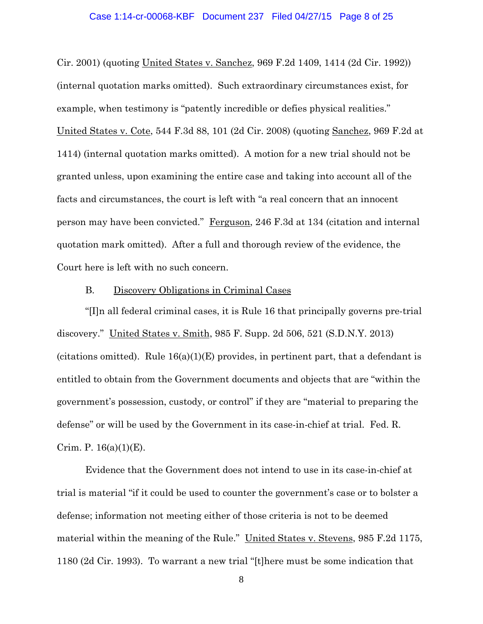## Case 1:14-cr-00068-KBF Document 237 Filed 04/27/15 Page 8 of 25

Cir. 2001) (quoting United States v. Sanchez, 969 F.2d 1409, 1414 (2d Cir. 1992)) (internal quotation marks omitted). Such extraordinary circumstances exist, for example, when testimony is "patently incredible or defies physical realities." United States v. Cote, 544 F.3d 88, 101 (2d Cir. 2008) (quoting Sanchez, 969 F.2d at 1414) (internal quotation marks omitted). A motion for a new trial should not be granted unless, upon examining the entire case and taking into account all of the facts and circumstances, the court is left with "a real concern that an innocent person may have been convicted." Ferguson, 246 F.3d at 134 (citation and internal quotation mark omitted). After a full and thorough review of the evidence, the Court here is left with no such concern.

## B. Discovery Obligations in Criminal Cases

"[I]n all federal criminal cases, it is Rule 16 that principally governs pre-trial discovery." United States v. Smith, 985 F. Supp. 2d 506, 521 (S.D.N.Y. 2013) (citations omitted). Rule  $16(a)(1)(E)$  provides, in pertinent part, that a defendant is entitled to obtain from the Government documents and objects that are "within the government's possession, custody, or control" if they are "material to preparing the defense" or will be used by the Government in its case-in-chief at trial. Fed. R. Crim. P.  $16(a)(1)(E)$ .

Evidence that the Government does not intend to use in its case-in-chief at trial is material "if it could be used to counter the government's case or to bolster a defense; information not meeting either of those criteria is not to be deemed material within the meaning of the Rule." United States v. Stevens, 985 F.2d 1175, 1180 (2d Cir. 1993). To warrant a new trial "[t]here must be some indication that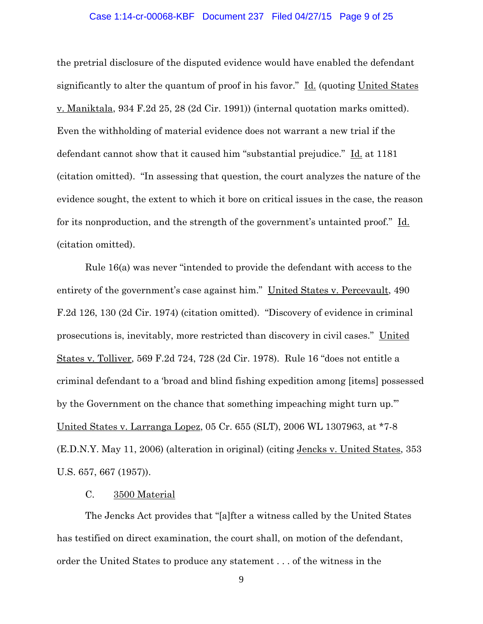## Case 1:14-cr-00068-KBF Document 237 Filed 04/27/15 Page 9 of 25

the pretrial disclosure of the disputed evidence would have enabled the defendant significantly to alter the quantum of proof in his favor." Id. (quoting United States v. Maniktala, 934 F.2d 25, 28 (2d Cir. 1991)) (internal quotation marks omitted). Even the withholding of material evidence does not warrant a new trial if the defendant cannot show that it caused him "substantial prejudice." Id. at 1181 (citation omitted). "In assessing that question, the court analyzes the nature of the evidence sought, the extent to which it bore on critical issues in the case, the reason for its nonproduction, and the strength of the government's untainted proof." Id. (citation omitted).

Rule 16(a) was never "intended to provide the defendant with access to the entirety of the government's case against him." United States v. Percevault, 490 F.2d 126, 130 (2d Cir. 1974) (citation omitted). "Discovery of evidence in criminal prosecutions is, inevitably, more restricted than discovery in civil cases." United States v. Tolliver, 569 F.2d 724, 728 (2d Cir. 1978). Rule 16 "does not entitle a criminal defendant to a 'broad and blind fishing expedition among [items] possessed by the Government on the chance that something impeaching might turn up.'" United States v. Larranga Lopez, 05 Cr. 655 (SLT), 2006 WL 1307963, at \*7-8 (E.D.N.Y. May 11, 2006) (alteration in original) (citing Jencks v. United States, 353 U.S. 657, 667 (1957)).

# C. 3500 Material

 The Jencks Act provides that "[a]fter a witness called by the United States has testified on direct examination, the court shall, on motion of the defendant, order the United States to produce any statement . . . of the witness in the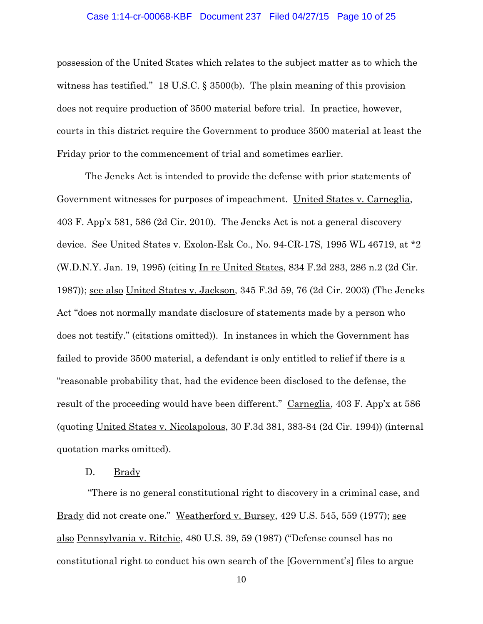## Case 1:14-cr-00068-KBF Document 237 Filed 04/27/15 Page 10 of 25

possession of the United States which relates to the subject matter as to which the witness has testified." 18 U.S.C. § 3500(b). The plain meaning of this provision does not require production of 3500 material before trial. In practice, however, courts in this district require the Government to produce 3500 material at least the Friday prior to the commencement of trial and sometimes earlier.

 The Jencks Act is intended to provide the defense with prior statements of Government witnesses for purposes of impeachment. United States v. Carneglia, 403 F. App'x 581, 586 (2d Cir. 2010). The Jencks Act is not a general discovery device. See United States v. Exolon-Esk Co., No. 94-CR-17S, 1995 WL 46719, at \*2 (W.D.N.Y. Jan. 19, 1995) (citing In re United States, 834 F.2d 283, 286 n.2 (2d Cir. 1987)); see also United States v. Jackson, 345 F.3d 59, 76 (2d Cir. 2003) (The Jencks Act "does not normally mandate disclosure of statements made by a person who does not testify." (citations omitted)). In instances in which the Government has failed to provide 3500 material, a defendant is only entitled to relief if there is a "reasonable probability that, had the evidence been disclosed to the defense, the result of the proceeding would have been different." Carneglia, 403 F. App'x at 586 (quoting United States v. Nicolapolous, 30 F.3d 381, 383-84 (2d Cir. 1994)) (internal quotation marks omitted).

# D. Brady

 "There is no general constitutional right to discovery in a criminal case, and Brady did not create one." Weatherford v. Bursey, 429 U.S. 545, 559 (1977); see also Pennsylvania v. Ritchie, 480 U.S. 39, 59 (1987) ("Defense counsel has no constitutional right to conduct his own search of the [Government's] files to argue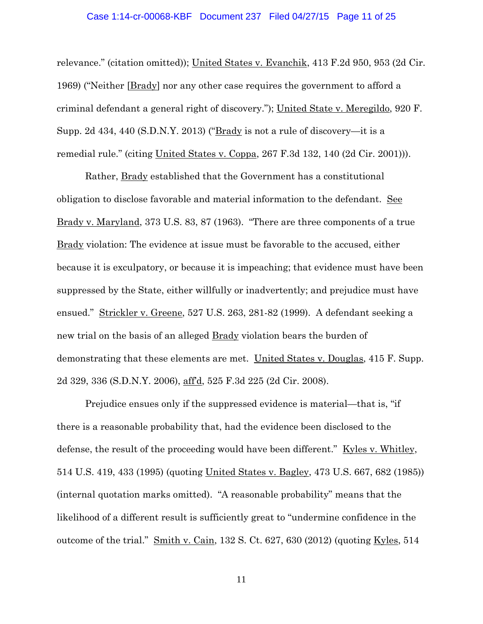## Case 1:14-cr-00068-KBF Document 237 Filed 04/27/15 Page 11 of 25

relevance." (citation omitted)); United States v. Evanchik, 413 F.2d 950, 953 (2d Cir. 1969) ("Neither [Brady] nor any other case requires the government to afford a criminal defendant a general right of discovery."); United State v. Meregildo, 920 F. Supp. 2d 434, 440 (S.D.N.Y. 2013) ("Brady is not a rule of discovery—it is a remedial rule." (citing United States v. Coppa, 267 F.3d 132, 140 (2d Cir. 2001))).

Rather, **Brady** established that the Government has a constitutional obligation to disclose favorable and material information to the defendant. See Brady v. Maryland, 373 U.S. 83, 87 (1963). "There are three components of a true Brady violation: The evidence at issue must be favorable to the accused, either because it is exculpatory, or because it is impeaching; that evidence must have been suppressed by the State, either willfully or inadvertently; and prejudice must have ensued." Strickler v. Greene, 527 U.S. 263, 281-82 (1999). A defendant seeking a new trial on the basis of an alleged Brady violation bears the burden of demonstrating that these elements are met. United States v. Douglas, 415 F. Supp. 2d 329, 336 (S.D.N.Y. 2006), aff'd, 525 F.3d 225 (2d Cir. 2008).

Prejudice ensues only if the suppressed evidence is material—that is, "if there is a reasonable probability that, had the evidence been disclosed to the defense, the result of the proceeding would have been different." Kyles v. Whitley, 514 U.S. 419, 433 (1995) (quoting United States v. Bagley, 473 U.S. 667, 682 (1985)) (internal quotation marks omitted). "A reasonable probability" means that the likelihood of a different result is sufficiently great to "undermine confidence in the outcome of the trial."  $\frac{\text{Smith v. Cain}}{\text{Smin}}$ , 132 S. Ct. 627, 630 (2012) (quoting  $\frac{\text{Kyles}}{\text{S}}$ , 514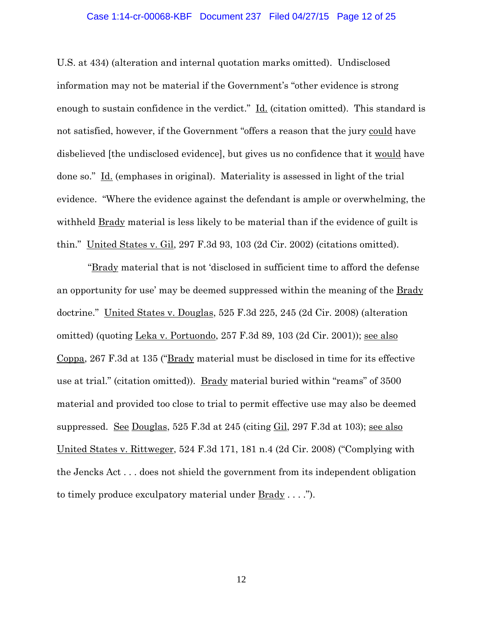## Case 1:14-cr-00068-KBF Document 237 Filed 04/27/15 Page 12 of 25

U.S. at 434) (alteration and internal quotation marks omitted). Undisclosed information may not be material if the Government's "other evidence is strong enough to sustain confidence in the verdict." Id. (citation omitted). This standard is not satisfied, however, if the Government "offers a reason that the jury could have disbelieved [the undisclosed evidence], but gives us no confidence that it would have done so." Id. (emphases in original). Materiality is assessed in light of the trial evidence. "Where the evidence against the defendant is ample or overwhelming, the withheld Brady material is less likely to be material than if the evidence of guilt is thin." United States v. Gil, 297 F.3d 93, 103 (2d Cir. 2002) (citations omitted).

 "Brady material that is not 'disclosed in sufficient time to afford the defense an opportunity for use' may be deemed suppressed within the meaning of the Brady doctrine." United States v. Douglas, 525 F.3d 225, 245 (2d Cir. 2008) (alteration omitted) (quoting Leka v. Portuondo, 257 F.3d 89, 103 (2d Cir. 2001)); see also Coppa, 267 F.3d at 135 ("Brady material must be disclosed in time for its effective use at trial." (citation omitted)). Brady material buried within "reams" of 3500 material and provided too close to trial to permit effective use may also be deemed suppressed. See Douglas, 525 F.3d at 245 (citing Gil, 297 F.3d at 103); see also United States v. Rittweger, 524 F.3d 171, 181 n.4 (2d Cir. 2008) ("Complying with the Jencks Act . . . does not shield the government from its independent obligation to timely produce exculpatory material under Brady . . . .").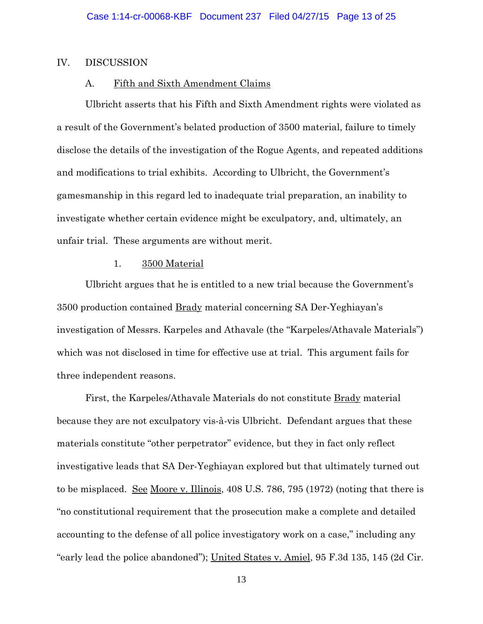# IV. DISCUSSION

# A. Fifth and Sixth Amendment Claims

Ulbricht asserts that his Fifth and Sixth Amendment rights were violated as a result of the Government's belated production of 3500 material, failure to timely disclose the details of the investigation of the Rogue Agents, and repeated additions and modifications to trial exhibits. According to Ulbricht, the Government's gamesmanship in this regard led to inadequate trial preparation, an inability to investigate whether certain evidence might be exculpatory, and, ultimately, an unfair trial. These arguments are without merit.

## 1. 3500 Material

Ulbricht argues that he is entitled to a new trial because the Government's 3500 production contained Brady material concerning SA Der-Yeghiayan's investigation of Messrs. Karpeles and Athavale (the "Karpeles/Athavale Materials") which was not disclosed in time for effective use at trial. This argument fails for three independent reasons.

First, the Karpeles/Athavale Materials do not constitute **Brady** material because they are not exculpatory vis-à-vis Ulbricht. Defendant argues that these materials constitute "other perpetrator" evidence, but they in fact only reflect investigative leads that SA Der-Yeghiayan explored but that ultimately turned out to be misplaced. See Moore v. Illinois, 408 U.S. 786, 795 (1972) (noting that there is "no constitutional requirement that the prosecution make a complete and detailed accounting to the defense of all police investigatory work on a case," including any "early lead the police abandoned"); United States v. Amiel, 95 F.3d 135, 145 (2d Cir.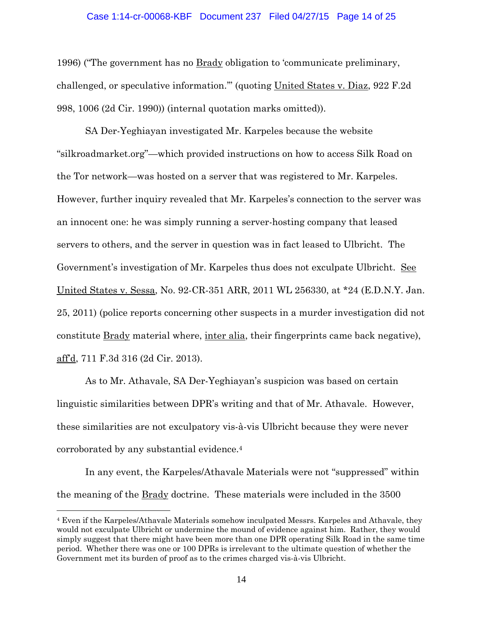#### Case 1:14-cr-00068-KBF Document 237 Filed 04/27/15 Page 14 of 25

1996) ("The government has no Brady obligation to 'communicate preliminary, challenged, or speculative information.'" (quoting United States v. Diaz, 922 F.2d 998, 1006 (2d Cir. 1990)) (internal quotation marks omitted)).

SA Der-Yeghiayan investigated Mr. Karpeles because the website "silkroadmarket.org"—which provided instructions on how to access Silk Road on the Tor network—was hosted on a server that was registered to Mr. Karpeles. However, further inquiry revealed that Mr. Karpeles's connection to the server was an innocent one: he was simply running a server-hosting company that leased servers to others, and the server in question was in fact leased to Ulbricht. The Government's investigation of Mr. Karpeles thus does not exculpate Ulbricht. See United States v. Sessa, No. 92-CR-351 ARR, 2011 WL 256330, at \*24 (E.D.N.Y. Jan. 25, 2011) (police reports concerning other suspects in a murder investigation did not constitute Brady material where, inter alia, their fingerprints came back negative), aff'd, 711 F.3d 316 (2d Cir. 2013).

As to Mr. Athavale, SA Der-Yeghiayan's suspicion was based on certain linguistic similarities between DPR's writing and that of Mr. Athavale. However, these similarities are not exculpatory vis-à-vis Ulbricht because they were never corroborated by any substantial evidence.4

In any event, the Karpeles/Athavale Materials were not "suppressed" within the meaning of the **Brady** doctrine. These materials were included in the 3500

 $\overline{a}$ 

<sup>4</sup> Even if the Karpeles/Athavale Materials somehow inculpated Messrs. Karpeles and Athavale, they would not exculpate Ulbricht or undermine the mound of evidence against him. Rather, they would simply suggest that there might have been more than one DPR operating Silk Road in the same time period. Whether there was one or 100 DPRs is irrelevant to the ultimate question of whether the Government met its burden of proof as to the crimes charged vis-à-vis Ulbricht.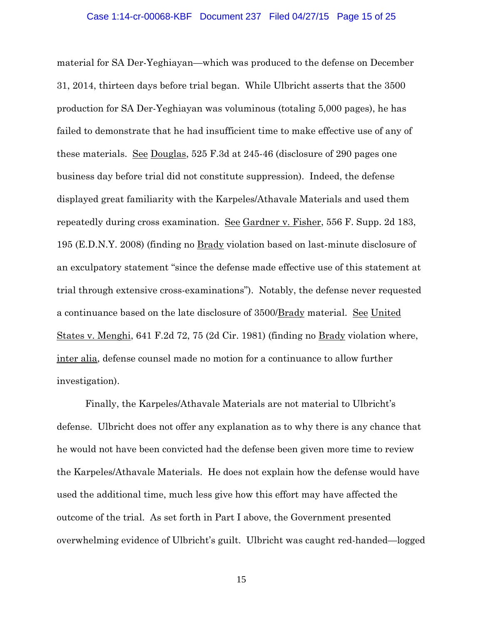#### Case 1:14-cr-00068-KBF Document 237 Filed 04/27/15 Page 15 of 25

material for SA Der-Yeghiayan—which was produced to the defense on December 31, 2014, thirteen days before trial began. While Ulbricht asserts that the 3500 production for SA Der-Yeghiayan was voluminous (totaling 5,000 pages), he has failed to demonstrate that he had insufficient time to make effective use of any of these materials. See Douglas, 525 F.3d at 245-46 (disclosure of 290 pages one business day before trial did not constitute suppression). Indeed, the defense displayed great familiarity with the Karpeles/Athavale Materials and used them repeatedly during cross examination. See Gardner v. Fisher, 556 F. Supp. 2d 183, 195 (E.D.N.Y. 2008) (finding no Brady violation based on last-minute disclosure of an exculpatory statement "since the defense made effective use of this statement at trial through extensive cross-examinations"). Notably, the defense never requested a continuance based on the late disclosure of 3500/Brady material. See United States v. Menghi, 641 F.2d 72, 75 (2d Cir. 1981) (finding no Brady violation where, inter alia, defense counsel made no motion for a continuance to allow further investigation).

Finally, the Karpeles/Athavale Materials are not material to Ulbricht's defense. Ulbricht does not offer any explanation as to why there is any chance that he would not have been convicted had the defense been given more time to review the Karpeles/Athavale Materials. He does not explain how the defense would have used the additional time, much less give how this effort may have affected the outcome of the trial. As set forth in Part I above, the Government presented overwhelming evidence of Ulbricht's guilt. Ulbricht was caught red-handed—logged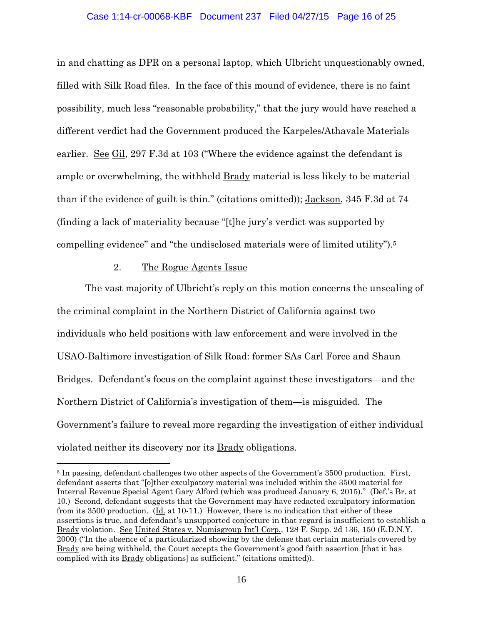## Case 1:14-cr-00068-KBF Document 237 Filed 04/27/15 Page 16 of 25

in and chatting as DPR on a personal laptop, which Ulbricht unquestionably owned, filled with Silk Road files. In the face of this mound of evidence, there is no faint possibility, much less "reasonable probability," that the jury would have reached a different verdict had the Government produced the Karpeles/Athavale Materials earlier. <u>See Gil</u>, 297 F.3d at 103 ("Where the evidence against the defendant is ample or overwhelming, the withheld Brady material is less likely to be material than if the evidence of guilt is thin." (citations omitted)); Jackson, 345 F.3d at 74 (finding a lack of materiality because "[t]he jury's verdict was supported by compelling evidence" and "the undisclosed materials were of limited utility").5

# 2. The Rogue Agents Issue

 $\overline{a}$ 

The vast majority of Ulbricht's reply on this motion concerns the unsealing of the criminal complaint in the Northern District of California against two individuals who held positions with law enforcement and were involved in the USAO-Baltimore investigation of Silk Road: former SAs Carl Force and Shaun Bridges. Defendant's focus on the complaint against these investigators—and the Northern District of California's investigation of them—is misguided. The Government's failure to reveal more regarding the investigation of either individual violated neither its discovery nor its Brady obligations.

<sup>&</sup>lt;sup>5</sup> In passing, defendant challenges two other aspects of the Government's 3500 production. First, defendant asserts that "[o]ther exculpatory material was included within the 3500 material for Internal Revenue Special Agent Gary Alford (which was produced January 6, 2015)." (Def.'s Br. at 10.) Second, defendant suggests that the Government may have redacted exculpatory information from its 3500 production.  $(\underline{Id}$  at 10-11.) However, there is no indication that either of these assertions is true, and defendant's unsupported conjecture in that regard is insufficient to establish a Brady violation. See United States v. Numisgroup Int'l Corp., 128 F. Supp. 2d 136, 150 (E.D.N.Y. 2000) ("In the absence of a particularized showing by the defense that certain materials covered by Brady are being withheld, the Court accepts the Government's good faith assertion [that it has complied with its Brady obligations] as sufficient." (citations omitted)).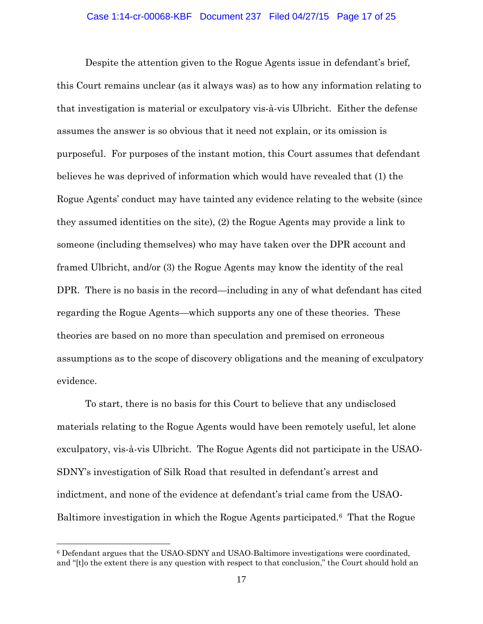Despite the attention given to the Rogue Agents issue in defendant's brief, this Court remains unclear (as it always was) as to how any information relating to that investigation is material or exculpatory vis-à-vis Ulbricht. Either the defense assumes the answer is so obvious that it need not explain, or its omission is purposeful. For purposes of the instant motion, this Court assumes that defendant believes he was deprived of information which would have revealed that (1) the Rogue Agents' conduct may have tainted any evidence relating to the website (since they assumed identities on the site), (2) the Rogue Agents may provide a link to someone (including themselves) who may have taken over the DPR account and framed Ulbricht, and/or (3) the Rogue Agents may know the identity of the real DPR. There is no basis in the record—including in any of what defendant has cited regarding the Rogue Agents—which supports any one of these theories. These theories are based on no more than speculation and premised on erroneous assumptions as to the scope of discovery obligations and the meaning of exculpatory evidence.

To start, there is no basis for this Court to believe that any undisclosed materials relating to the Rogue Agents would have been remotely useful, let alone exculpatory, vis-à-vis Ulbricht. The Rogue Agents did not participate in the USAO-SDNY's investigation of Silk Road that resulted in defendant's arrest and indictment, and none of the evidence at defendant's trial came from the USAO-Baltimore investigation in which the Rogue Agents participated.6 That the Rogue

 $\overline{a}$ 

<sup>6</sup> Defendant argues that the USAO-SDNY and USAO-Baltimore investigations were coordinated, and "[t]o the extent there is any question with respect to that conclusion," the Court should hold an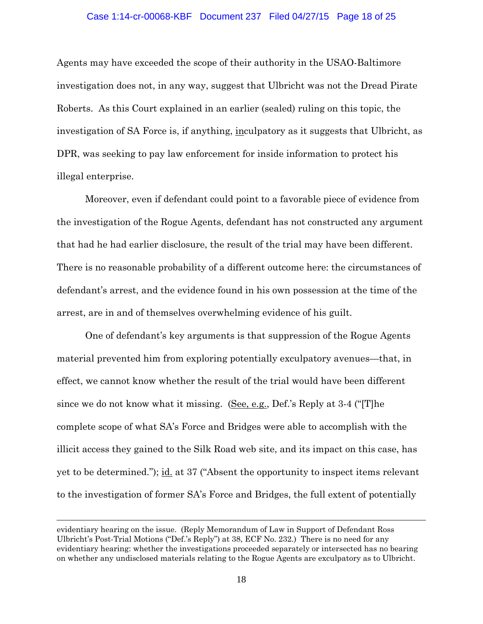#### Case 1:14-cr-00068-KBF Document 237 Filed 04/27/15 Page 18 of 25

Agents may have exceeded the scope of their authority in the USAO-Baltimore investigation does not, in any way, suggest that Ulbricht was not the Dread Pirate Roberts. As this Court explained in an earlier (sealed) ruling on this topic, the investigation of SA Force is, if anything, inculpatory as it suggests that Ulbricht, as DPR, was seeking to pay law enforcement for inside information to protect his illegal enterprise.

Moreover, even if defendant could point to a favorable piece of evidence from the investigation of the Rogue Agents, defendant has not constructed any argument that had he had earlier disclosure, the result of the trial may have been different. There is no reasonable probability of a different outcome here: the circumstances of defendant's arrest, and the evidence found in his own possession at the time of the arrest, are in and of themselves overwhelming evidence of his guilt.

One of defendant's key arguments is that suppression of the Rogue Agents material prevented him from exploring potentially exculpatory avenues—that, in effect, we cannot know whether the result of the trial would have been different since we do not know what it missing. (See, e.g., Def.'s Reply at 3-4 ("[T]he complete scope of what SA's Force and Bridges were able to accomplish with the illicit access they gained to the Silk Road web site, and its impact on this case, has yet to be determined."); id. at 37 ("Absent the opportunity to inspect items relevant to the investigation of former SA's Force and Bridges, the full extent of potentially

 $\overline{a}$ 

evidentiary hearing on the issue. (Reply Memorandum of Law in Support of Defendant Ross Ulbricht's Post-Trial Motions ("Def.'s Reply") at 38, ECF No. 232.) There is no need for any evidentiary hearing: whether the investigations proceeded separately or intersected has no bearing on whether any undisclosed materials relating to the Rogue Agents are exculpatory as to Ulbricht.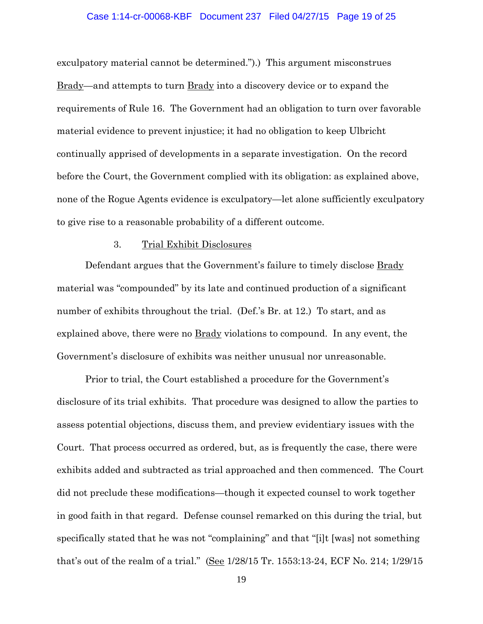#### Case 1:14-cr-00068-KBF Document 237 Filed 04/27/15 Page 19 of 25

exculpatory material cannot be determined.").) This argument misconstrues Brady—and attempts to turn Brady into a discovery device or to expand the requirements of Rule 16. The Government had an obligation to turn over favorable material evidence to prevent injustice; it had no obligation to keep Ulbricht continually apprised of developments in a separate investigation. On the record before the Court, the Government complied with its obligation: as explained above, none of the Rogue Agents evidence is exculpatory—let alone sufficiently exculpatory to give rise to a reasonable probability of a different outcome.

#### 3. Trial Exhibit Disclosures

Defendant argues that the Government's failure to timely disclose Brady material was "compounded" by its late and continued production of a significant number of exhibits throughout the trial. (Def.'s Br. at 12.) To start, and as explained above, there were no  $Brady$  violations to compound. In any event, the Government's disclosure of exhibits was neither unusual nor unreasonable.

Prior to trial, the Court established a procedure for the Government's disclosure of its trial exhibits. That procedure was designed to allow the parties to assess potential objections, discuss them, and preview evidentiary issues with the Court. That process occurred as ordered, but, as is frequently the case, there were exhibits added and subtracted as trial approached and then commenced. The Court did not preclude these modifications—though it expected counsel to work together in good faith in that regard. Defense counsel remarked on this during the trial, but specifically stated that he was not "complaining" and that "[i]t [was] not something that's out of the realm of a trial." (See 1/28/15 Tr. 1553:13-24, ECF No. 214; 1/29/15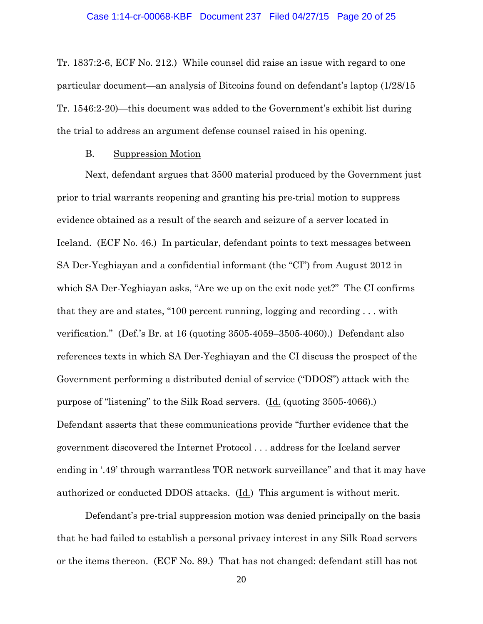Tr. 1837:2-6, ECF No. 212.) While counsel did raise an issue with regard to one particular document—an analysis of Bitcoins found on defendant's laptop (1/28/15 Tr. 1546:2-20)—this document was added to the Government's exhibit list during the trial to address an argument defense counsel raised in his opening.

## B. Suppression Motion

Next, defendant argues that 3500 material produced by the Government just prior to trial warrants reopening and granting his pre-trial motion to suppress evidence obtained as a result of the search and seizure of a server located in Iceland. (ECF No. 46.) In particular, defendant points to text messages between SA Der-Yeghiayan and a confidential informant (the "CI") from August 2012 in which SA Der-Yeghiayan asks, "Are we up on the exit node yet?" The CI confirms that they are and states, "100 percent running, logging and recording . . . with verification." (Def.'s Br. at 16 (quoting 3505-4059–3505-4060).) Defendant also references texts in which SA Der-Yeghiayan and the CI discuss the prospect of the Government performing a distributed denial of service ("DDOS") attack with the purpose of "listening" to the Silk Road servers. (Id. (quoting 3505-4066).) Defendant asserts that these communications provide "further evidence that the government discovered the Internet Protocol . . . address for the Iceland server ending in '.49' through warrantless TOR network surveillance" and that it may have authorized or conducted DDOS attacks. (Id.) This argument is without merit.

Defendant's pre-trial suppression motion was denied principally on the basis that he had failed to establish a personal privacy interest in any Silk Road servers or the items thereon. (ECF No. 89.) That has not changed: defendant still has not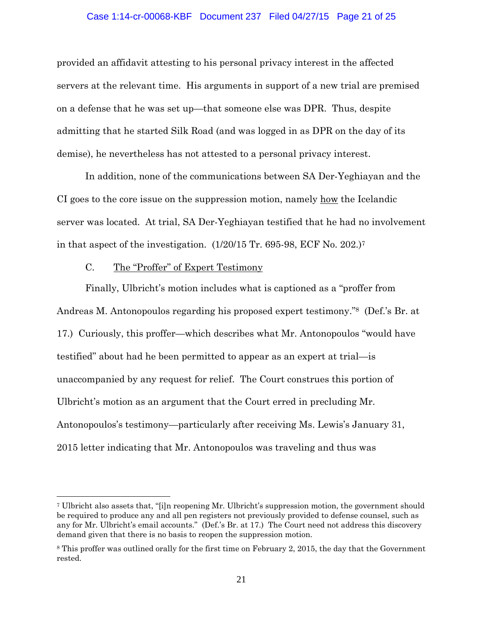#### Case 1:14-cr-00068-KBF Document 237 Filed 04/27/15 Page 21 of 25

provided an affidavit attesting to his personal privacy interest in the affected servers at the relevant time. His arguments in support of a new trial are premised on a defense that he was set up—that someone else was DPR. Thus, despite admitting that he started Silk Road (and was logged in as DPR on the day of its demise), he nevertheless has not attested to a personal privacy interest.

In addition, none of the communications between SA Der-Yeghiayan and the CI goes to the core issue on the suppression motion, namely how the Icelandic server was located. At trial, SA Der-Yeghiayan testified that he had no involvement in that aspect of the investigation. (1/20/15 Tr. 695-98, ECF No. 202.)7

# C. The "Proffer" of Expert Testimony

 $\overline{a}$ 

Finally, Ulbricht's motion includes what is captioned as a "proffer from Andreas M. Antonopoulos regarding his proposed expert testimony."8 (Def.'s Br. at 17.) Curiously, this proffer—which describes what Mr. Antonopoulos "would have testified" about had he been permitted to appear as an expert at trial—is unaccompanied by any request for relief. The Court construes this portion of Ulbricht's motion as an argument that the Court erred in precluding Mr. Antonopoulos's testimony—particularly after receiving Ms. Lewis's January 31, 2015 letter indicating that Mr. Antonopoulos was traveling and thus was

<sup>7</sup> Ulbricht also assets that, "[i]n reopening Mr. Ulbricht's suppression motion, the government should be required to produce any and all pen registers not previously provided to defense counsel, such as any for Mr. Ulbricht's email accounts." (Def.'s Br. at 17.) The Court need not address this discovery demand given that there is no basis to reopen the suppression motion.

<sup>8</sup> This proffer was outlined orally for the first time on February 2, 2015, the day that the Government rested.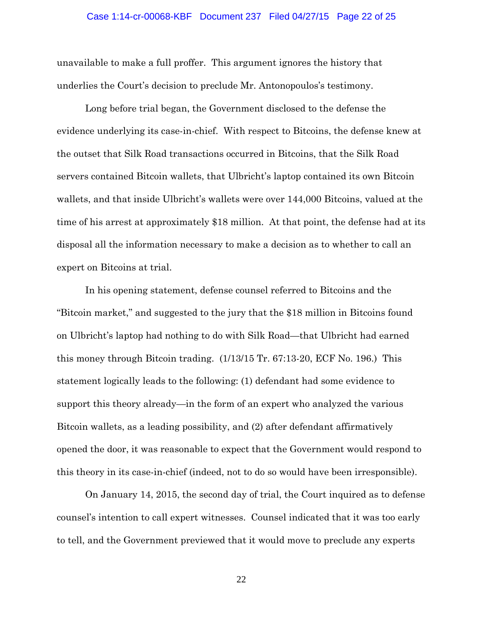## Case 1:14-cr-00068-KBF Document 237 Filed 04/27/15 Page 22 of 25

unavailable to make a full proffer. This argument ignores the history that underlies the Court's decision to preclude Mr. Antonopoulos's testimony.

Long before trial began, the Government disclosed to the defense the evidence underlying its case-in-chief. With respect to Bitcoins, the defense knew at the outset that Silk Road transactions occurred in Bitcoins, that the Silk Road servers contained Bitcoin wallets, that Ulbricht's laptop contained its own Bitcoin wallets, and that inside Ulbricht's wallets were over 144,000 Bitcoins, valued at the time of his arrest at approximately \$18 million. At that point, the defense had at its disposal all the information necessary to make a decision as to whether to call an expert on Bitcoins at trial.

In his opening statement, defense counsel referred to Bitcoins and the "Bitcoin market," and suggested to the jury that the \$18 million in Bitcoins found on Ulbricht's laptop had nothing to do with Silk Road—that Ulbricht had earned this money through Bitcoin trading. (1/13/15 Tr. 67:13-20, ECF No. 196.) This statement logically leads to the following: (1) defendant had some evidence to support this theory already—in the form of an expert who analyzed the various Bitcoin wallets, as a leading possibility, and (2) after defendant affirmatively opened the door, it was reasonable to expect that the Government would respond to this theory in its case-in-chief (indeed, not to do so would have been irresponsible).

On January 14, 2015, the second day of trial, the Court inquired as to defense counsel's intention to call expert witnesses. Counsel indicated that it was too early to tell, and the Government previewed that it would move to preclude any experts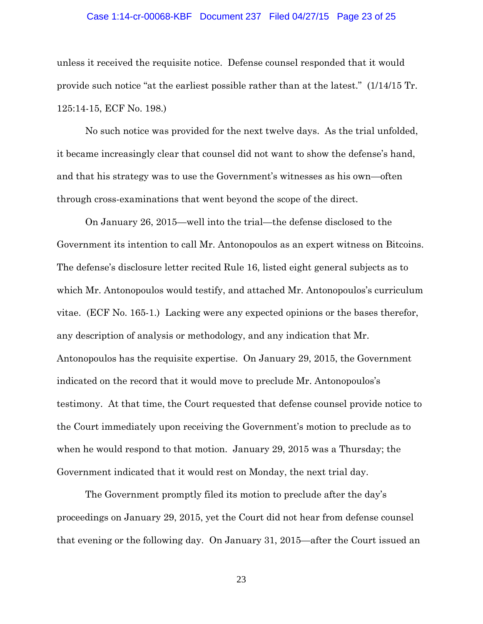## Case 1:14-cr-00068-KBF Document 237 Filed 04/27/15 Page 23 of 25

unless it received the requisite notice. Defense counsel responded that it would provide such notice "at the earliest possible rather than at the latest." (1/14/15 Tr. 125:14-15, ECF No. 198.)

No such notice was provided for the next twelve days. As the trial unfolded, it became increasingly clear that counsel did not want to show the defense's hand, and that his strategy was to use the Government's witnesses as his own—often through cross-examinations that went beyond the scope of the direct.

On January 26, 2015—well into the trial—the defense disclosed to the Government its intention to call Mr. Antonopoulos as an expert witness on Bitcoins. The defense's disclosure letter recited Rule 16, listed eight general subjects as to which Mr. Antonopoulos would testify, and attached Mr. Antonopoulos's curriculum vitae. (ECF No. 165-1.) Lacking were any expected opinions or the bases therefor, any description of analysis or methodology, and any indication that Mr. Antonopoulos has the requisite expertise. On January 29, 2015, the Government indicated on the record that it would move to preclude Mr. Antonopoulos's testimony. At that time, the Court requested that defense counsel provide notice to the Court immediately upon receiving the Government's motion to preclude as to when he would respond to that motion. January 29, 2015 was a Thursday; the Government indicated that it would rest on Monday, the next trial day.

The Government promptly filed its motion to preclude after the day's proceedings on January 29, 2015, yet the Court did not hear from defense counsel that evening or the following day. On January 31, 2015—after the Court issued an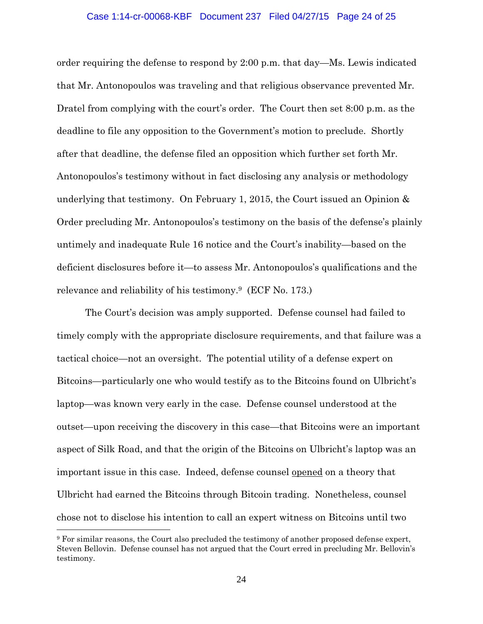#### Case 1:14-cr-00068-KBF Document 237 Filed 04/27/15 Page 24 of 25

order requiring the defense to respond by 2:00 p.m. that day—Ms. Lewis indicated that Mr. Antonopoulos was traveling and that religious observance prevented Mr. Dratel from complying with the court's order. The Court then set 8:00 p.m. as the deadline to file any opposition to the Government's motion to preclude. Shortly after that deadline, the defense filed an opposition which further set forth Mr. Antonopoulos's testimony without in fact disclosing any analysis or methodology underlying that testimony. On February 1, 2015, the Court issued an Opinion & Order precluding Mr. Antonopoulos's testimony on the basis of the defense's plainly untimely and inadequate Rule 16 notice and the Court's inability—based on the deficient disclosures before it—to assess Mr. Antonopoulos's qualifications and the relevance and reliability of his testimony.9 (ECF No. 173.)

The Court's decision was amply supported. Defense counsel had failed to timely comply with the appropriate disclosure requirements, and that failure was a tactical choice—not an oversight. The potential utility of a defense expert on Bitcoins—particularly one who would testify as to the Bitcoins found on Ulbricht's laptop—was known very early in the case. Defense counsel understood at the outset—upon receiving the discovery in this case—that Bitcoins were an important aspect of Silk Road, and that the origin of the Bitcoins on Ulbricht's laptop was an important issue in this case. Indeed, defense counsel opened on a theory that Ulbricht had earned the Bitcoins through Bitcoin trading. Nonetheless, counsel chose not to disclose his intention to call an expert witness on Bitcoins until two

 $\overline{a}$ 

<sup>9</sup> For similar reasons, the Court also precluded the testimony of another proposed defense expert, Steven Bellovin. Defense counsel has not argued that the Court erred in precluding Mr. Bellovin's testimony.